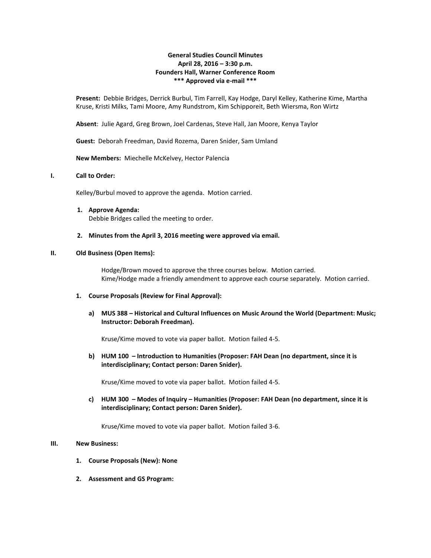# **General Studies Council Minutes April 28, 2016 – 3:30 p.m. Founders Hall, Warner Conference Room \*\*\* Approved via e-mail \*\*\***

**Present:** Debbie Bridges, Derrick Burbul, Tim Farrell, Kay Hodge, Daryl Kelley, Katherine Kime, Martha Kruse, Kristi Milks, Tami Moore, Amy Rundstrom, Kim Schipporeit, Beth Wiersma, Ron Wirtz

**Absent**: Julie Agard, Greg Brown, Joel Cardenas, Steve Hall, Jan Moore, Kenya Taylor

**Guest:** Deborah Freedman, David Rozema, Daren Snider, Sam Umland

**New Members:** Miechelle McKelvey, Hector Palencia

## **I. Call to Order:**

Kelley/Burbul moved to approve the agenda. Motion carried.

**1. Approve Agenda:** Debbie Bridges called the meeting to order.

#### **2. Minutes from the April 3, 2016 meeting were approved via email.**

### **II. Old Business (Open Items):**

Hodge/Brown moved to approve the three courses below. Motion carried. Kime/Hodge made a friendly amendment to approve each course separately. Motion carried.

#### **1. Course Proposals (Review for Final Approval):**

**a) MUS 388 – Historical and Cultural Influences on Music Around the World (Department: Music; Instructor: Deborah Freedman).**

Kruse/Kime moved to vote via paper ballot. Motion failed 4-5.

**b) HUM 100 – Introduction to Humanities (Proposer: FAH Dean (no department, since it is interdisciplinary; Contact person: Daren Snider).** 

Kruse/Kime moved to vote via paper ballot. Motion failed 4-5.

**c) HUM 300 – Modes of Inquiry – Humanities (Proposer: FAH Dean (no department, since it is interdisciplinary; Contact person: Daren Snider).**

Kruse/Kime moved to vote via paper ballot. Motion failed 3-6.

## **III. New Business:**

- **1. Course Proposals (New): None**
- **2. Assessment and GS Program:**